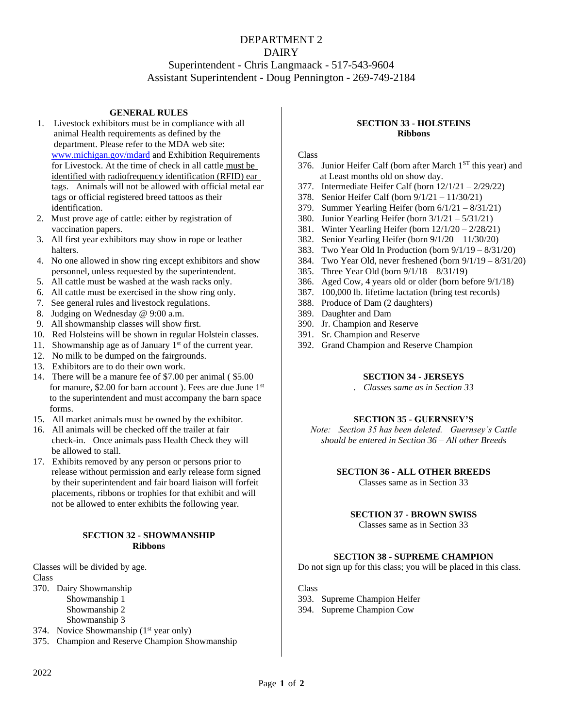## DEPARTMENT 2 DAIRY Superintendent - Chris Langmaack - 517-543-9604 Assistant Superintendent - Doug Pennington - 269-749-2184

## **GENERAL RULES**

- 1. Livestock exhibitors must be in compliance with all animal Health requirements as defined by the department. Please refer to the MDA web site: [www.michigan.gov/mdard](http://www.michigan.gov/mdard) and Exhibition Requirements for Livestock. At the time of check in all cattle must be identified with radiofrequency identification (RFID) ear tags. Animals will not be allowed with official metal ear tags or official registered breed tattoos as their identification.
- 2. Must prove age of cattle: either by registration of vaccination papers.
- 3. All first year exhibitors may show in rope or leather halters.
- 4. No one allowed in show ring except exhibitors and show personnel, unless requested by the superintendent.
- 5. All cattle must be washed at the wash racks only.
- 6. All cattle must be exercised in the show ring only.
- 7. See general rules and livestock regulations.
- 8. Judging on Wednesday @ 9:00 a.m.
- 9. All showmanship classes will show first.
- 10. Red Holsteins will be shown in regular Holstein classes.
- 11. Showmanship age as of January  $1<sup>st</sup>$  of the current year.
- 12. No milk to be dumped on the fairgrounds.
- 13. Exhibitors are to do their own work.
- 14. There will be a manure fee of \$7.00 per animal ( \$5.00 for manure, \$2.00 for barn account ). Fees are due June 1<sup>st</sup> to the superintendent and must accompany the barn space forms.
- 15. All market animals must be owned by the exhibitor.
- 16. All animals will be checked off the trailer at fair check-in. Once animals pass Health Check they will be allowed to stall.
- 17. Exhibits removed by any person or persons prior to release without permission and early release form signed by their superintendent and fair board liaison will forfeit placements, ribbons or trophies for that exhibit and will not be allowed to enter exhibits the following year.

## **SECTION 32 - SHOWMANSHIP Ribbons**

Classes will be divided by age. Class 370. Dairy Showmanship Showmanship 1

Showmanship 2

Showmanship 3

- 374. Novice Showmanship  $(1<sup>st</sup>$  year only)
- 375. Champion and Reserve Champion Showmanship

#### **SECTION 33 - HOLSTEINS Ribbons**

#### Class

- 376. Junior Heifer Calf (born after March  $1<sup>ST</sup>$  this year) and at Least months old on show day.
- 377. Intermediate Heifer Calf (born 12/1/21 2/29/22)
- 378. Senior Heifer Calf (born 9/1/21 11/30/21)
- 379. Summer Yearling Heifer (born 6/1/21 8/31/21)
- 380. Junior Yearling Heifer (born 3/1/21 5/31/21)
- 381. Winter Yearling Heifer (born 12/1/20 2/28/21)
- 382. Senior Yearling Heifer (born 9/1/20 11/30/20)
- 383. Two Year Old In Production (born 9/1/19 8/31/20)
- 384. Two Year Old, never freshened (born 9/1/19 8/31/20)
- 385. Three Year Old (born 9/1/18 8/31/19)
- 386. Aged Cow, 4 years old or older (born before 9/1/18)
- 387. 100,000 lb. lifetime lactation (bring test records)
- 388. Produce of Dam (2 daughters)
- 389. Daughter and Dam
- 390. Jr. Champion and Reserve
- 391. Sr. Champion and Reserve
- 392. Grand Champion and Reserve Champion

## **SECTION 34 - JERSEYS**

*. Classes same as in Section 33*

## **SECTION 35 - GUERNSEY'S**

*Note: Section 35 has been deleted. Guernsey's Cattle should be entered in Section 36 – All other Breeds*

## **SECTION 36 - ALL OTHER BREEDS**

Classes same as in Section 33

## **SECTION 37 - BROWN SWISS**

Classes same as in Section 33

#### **SECTION 38 - SUPREME CHAMPION**

Do not sign up for this class; you will be placed in this class.

Class

- 393. Supreme Champion Heifer
- 394. Supreme Champion Cow